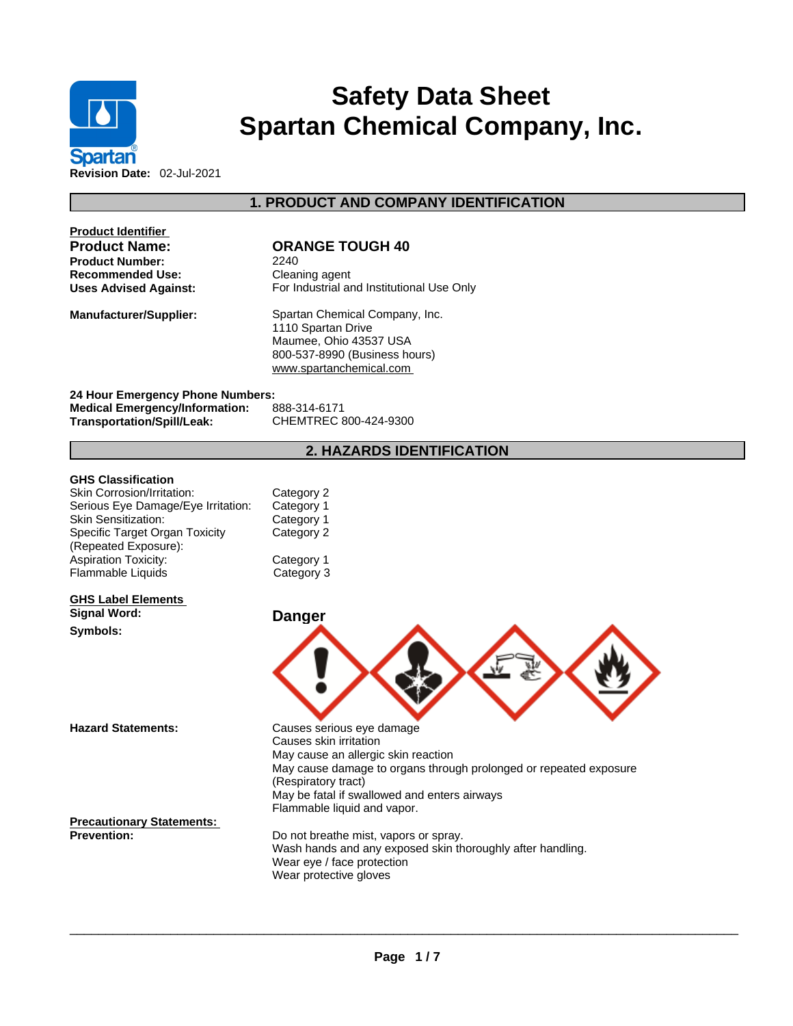

# **Safety Data Sheet Spartan Chemical Company, Inc.**

**Product Identifier Product Number:** 2240 **Recommended Use:**<br> **Uses Advised Against:**<br> **Cleaning Constraint Constructs** For Industrial are

## **Product Name: ORANGE TOUGH 40**

**For Industrial and Institutional Use Only** 

**1. PRODUCT AND COMPANY IDENTIFICATION** 

**Manufacturer/Supplier:** Spartan Chemical Company, Inc. 1110 Spartan Drive Maumee, Ohio 43537 USA 800-537-8990 (Business hours) <www.spartanchemical.com>

**24 Hour Emergency Phone Numbers: Medical Emergency/Information:** 888-314-6171 **Transportation/Spill/Leak:** 

## **2. HAZARDS IDENTIFICATION**

#### **GHS Classification**

| Skin Corrosion/Irritation:         | Category 2 |
|------------------------------------|------------|
| Serious Eye Damage/Eye Irritation: | Category 1 |
| <b>Skin Sensitization:</b>         | Category 1 |
| Specific Target Organ Toxicity     | Category 2 |
| (Repeated Exposure):               |            |
| <b>Aspiration Toxicity:</b>        | Category 1 |
| <b>Flammable Liquids</b>           | Category 3 |

#### **GHS Label Elements Signal Word: Danger**

**Symbols:** 

**Hazard Statements:** Causes serious eye damage Causes skin irritation May cause an allergic skin reaction May cause damage to organs through prolonged or repeated exposure (Respiratory tract) May be fatal if swallowed and enters airways Flammable liquid and vapor.

**Precautionary Statements:**

Do not breathe mist, vapors or spray.<br>Wash hands and any exposed skin thoroughly after handling. Wear eye / face protection Wear protective gloves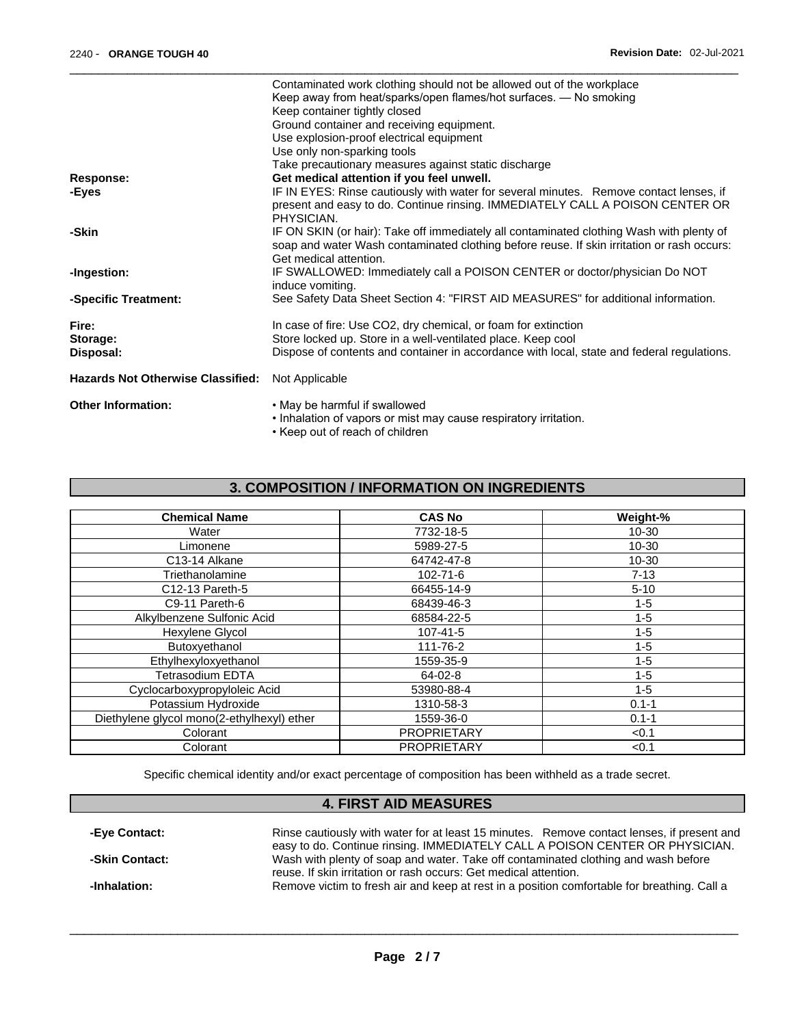|                                          | Contaminated work clothing should not be allowed out of the workplace                      |
|------------------------------------------|--------------------------------------------------------------------------------------------|
|                                          | Keep away from heat/sparks/open flames/hot surfaces. - No smoking                          |
|                                          | Keep container tightly closed                                                              |
|                                          | Ground container and receiving equipment.                                                  |
|                                          | Use explosion-proof electrical equipment                                                   |
|                                          | Use only non-sparking tools                                                                |
|                                          | Take precautionary measures against static discharge                                       |
| <b>Response:</b>                         | Get medical attention if you feel unwell.                                                  |
| -Eyes                                    | IF IN EYES: Rinse cautiously with water for several minutes. Remove contact lenses, if     |
|                                          | present and easy to do. Continue rinsing. IMMEDIATELY CALL A POISON CENTER OR              |
|                                          | PHYSICIAN.                                                                                 |
| -Skin                                    | IF ON SKIN (or hair): Take off immediately all contaminated clothing Wash with plenty of   |
|                                          | soap and water Wash contaminated clothing before reuse. If skin irritation or rash occurs: |
|                                          | Get medical attention.                                                                     |
| -Ingestion:                              | IF SWALLOWED: Immediately call a POISON CENTER or doctor/physician Do NOT                  |
|                                          | induce vomiting.                                                                           |
| -Specific Treatment:                     | See Safety Data Sheet Section 4: "FIRST AID MEASURES" for additional information.          |
| Fire:                                    | In case of fire: Use CO2, dry chemical, or foam for extinction                             |
| Storage:                                 | Store locked up. Store in a well-ventilated place. Keep cool                               |
| Disposal:                                | Dispose of contents and container in accordance with local, state and federal regulations. |
| <b>Hazards Not Otherwise Classified:</b> | Not Applicable                                                                             |
|                                          |                                                                                            |
| <b>Other Information:</b>                | • May be harmful if swallowed                                                              |
|                                          | . Inhalation of vapors or mist may cause respiratory irritation.                           |
|                                          | 17 a gus constitutions and confidential above.                                             |

• Keep out of reach of children

# **3. COMPOSITION / INFORMATION ON INGREDIENTS**

| <b>Chemical Name</b>                       | <b>CAS No</b>      | Weight-%  |
|--------------------------------------------|--------------------|-----------|
| Water                                      | 7732-18-5          | 10-30     |
| Limonene                                   | 5989-27-5          | 10-30     |
| C13-14 Alkane                              | 64742-47-8         | 10-30     |
| Triethanolamine                            | 102-71-6           | $7 - 13$  |
| C12-13 Pareth-5                            | 66455-14-9         | $5 - 10$  |
| C9-11 Pareth-6                             | 68439-46-3         | $1 - 5$   |
| Alkylbenzene Sulfonic Acid                 | 68584-22-5         | $1 - 5$   |
| Hexylene Glycol                            | 107-41-5           | $1 - 5$   |
| Butoxyethanol                              | 111-76-2           | $1 - 5$   |
| Ethylhexyloxyethanol                       | 1559-35-9          | $1 - 5$   |
| Tetrasodium EDTA                           | $64-02-8$          | $1 - 5$   |
| Cyclocarboxypropyloleic Acid               | 53980-88-4         | $1 - 5$   |
| Potassium Hydroxide                        | 1310-58-3          | $0.1 - 1$ |
| Diethylene glycol mono(2-ethylhexyl) ether | 1559-36-0          | $0.1 - 1$ |
| Colorant                                   | <b>PROPRIETARY</b> | < 0.1     |
| Colorant                                   | <b>PROPRIETARY</b> | < 0.1     |

Specific chemical identity and/or exact percentage of composition has been withheld as a trade secret.

# **4. FIRST AID MEASURES**

| -Eye Contact:  | Rinse cautiously with water for at least 15 minutes. Remove contact lenses, if present and  |
|----------------|---------------------------------------------------------------------------------------------|
|                | easy to do. Continue rinsing. IMMEDIATELY CALL A POISON CENTER OR PHYSICIAN.                |
| -Skin Contact: | Wash with plenty of soap and water. Take off contaminated clothing and wash before          |
|                | reuse. If skin irritation or rash occurs: Get medical attention.                            |
| -Inhalation:   | Remove victim to fresh air and keep at rest in a position comfortable for breathing. Call a |
|                |                                                                                             |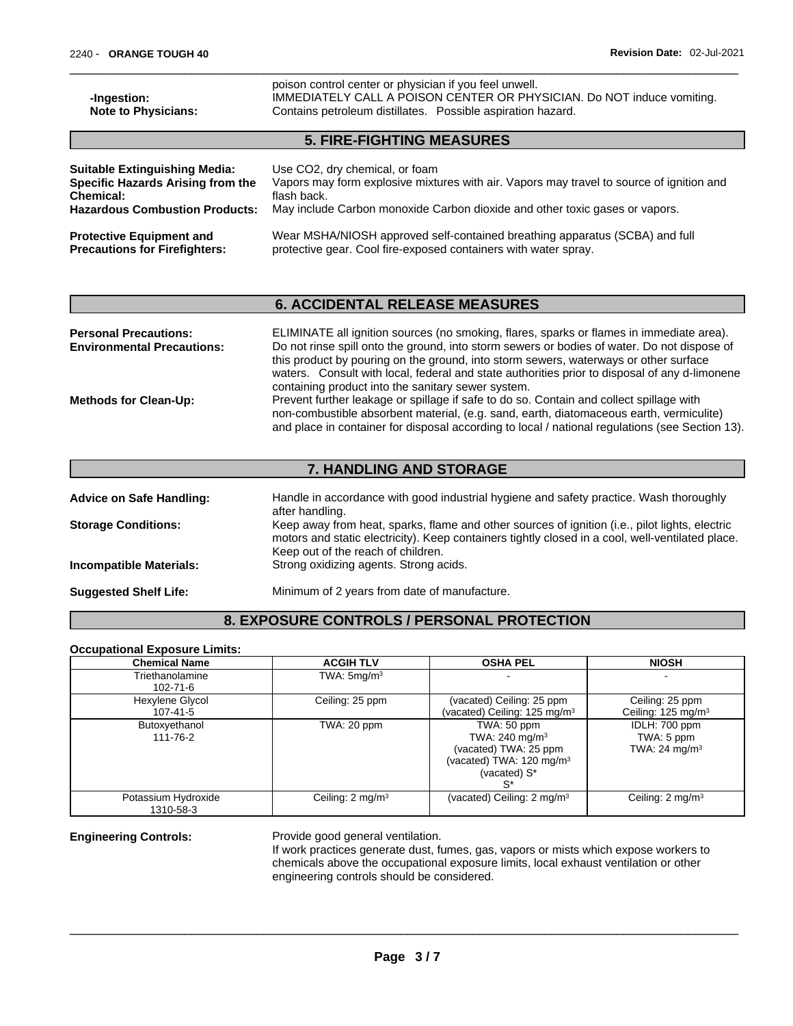| -Ingestion:<br><b>Note to Physicians:</b> | poison control center or physician if you feel unwell.<br>IMMEDIATELY CALL A POISON CENTER OR PHYSICIAN. Do NOT induce vomiting.<br>Contains petroleum distillates. Possible aspiration hazard. |  |  |  |
|-------------------------------------------|-------------------------------------------------------------------------------------------------------------------------------------------------------------------------------------------------|--|--|--|
| <b>5. FIRE-FIGHTING MEASURES</b>          |                                                                                                                                                                                                 |  |  |  |
| <b>Suitable Extinguishing Media:</b>      | Use CO2, dry chemical, or foam                                                                                                                                                                  |  |  |  |
| <b>Specific Hazards Arising from the</b>  | Vapors may form explosive mixtures with air. Vapors may travel to source of ignition and                                                                                                        |  |  |  |
| Chemical:                                 | flash back.                                                                                                                                                                                     |  |  |  |
| <b>Hazardous Combustion Products:</b>     | May include Carbon monoxide Carbon dioxide and other toxic gases or vapors.                                                                                                                     |  |  |  |
| <b>Protective Equipment and</b>           | Wear MSHA/NIOSH approved self-contained breathing apparatus (SCBA) and full                                                                                                                     |  |  |  |
| <b>Precautions for Firefighters:</b>      | protective gear. Cool fire-exposed containers with water spray.                                                                                                                                 |  |  |  |

# **6. ACCIDENTAL RELEASE MEASURES**

| <b>Personal Precautions:</b>      | ELIMINATE all ignition sources (no smoking, flares, sparks or flames in immediate area).        |
|-----------------------------------|-------------------------------------------------------------------------------------------------|
| <b>Environmental Precautions:</b> | Do not rinse spill onto the ground, into storm sewers or bodies of water. Do not dispose of     |
|                                   | this product by pouring on the ground, into storm sewers, waterways or other surface            |
|                                   | waters. Consult with local, federal and state authorities prior to disposal of any d-limonene   |
|                                   | containing product into the sanitary sewer system.                                              |
| <b>Methods for Clean-Up:</b>      | Prevent further leakage or spillage if safe to do so. Contain and collect spillage with         |
|                                   | non-combustible absorbent material, (e.g. sand, earth, diatomaceous earth, vermiculite)         |
|                                   | and place in container for disposal according to local / national regulations (see Section 13). |
|                                   |                                                                                                 |

# **7. HANDLING AND STORAGE**

| <b>Advice on Safe Handling:</b> | Handle in accordance with good industrial hygiene and safety practice. Wash thoroughly<br>after handling.                                                                                                                                |
|---------------------------------|------------------------------------------------------------------------------------------------------------------------------------------------------------------------------------------------------------------------------------------|
| <b>Storage Conditions:</b>      | Keep away from heat, sparks, flame and other sources of ignition (i.e., pilot lights, electric<br>motors and static electricity). Keep containers tightly closed in a cool, well-ventilated place.<br>Keep out of the reach of children. |
| <b>Incompatible Materials:</b>  | Strong oxidizing agents. Strong acids.                                                                                                                                                                                                   |
| <b>Suggested Shelf Life:</b>    | Minimum of 2 years from date of manufacture.                                                                                                                                                                                             |

# **8. EXPOSURE CONTROLS / PERSONAL PROTECTION**

#### **Occupational Exposure Limits:**

| <b>Chemical Name</b>              | <b>ACGIH TLV</b>            | <b>OSHA PEL</b>                                                                                                                | <b>NIOSH</b>                                     |
|-----------------------------------|-----------------------------|--------------------------------------------------------------------------------------------------------------------------------|--------------------------------------------------|
| Triethanolamine<br>$102 - 71 - 6$ | TWA: $5 \text{mq/m}^3$      |                                                                                                                                |                                                  |
| Hexylene Glycol<br>107-41-5       | Ceiling: 25 ppm             | (vacated) Ceiling: 25 ppm<br>(vacated) Ceiling: 125 mg/m <sup>3</sup>                                                          | Ceiling: 25 ppm<br>Ceiling: $125 \text{ mg/m}^3$ |
| Butoxyethanol<br>111-76-2         | TWA: 20 ppm                 | TWA: 50 ppm<br>TWA: $240 \text{ mg/m}^3$<br>(vacated) TWA: 25 ppm<br>(vacated) TWA: $120 \text{ mg/m}^3$<br>(vacated) S*<br>s* | IDLH: 700 ppm<br>TWA: 5 ppm<br>TWA: 24 mg/m $3$  |
| Potassium Hydroxide<br>1310-58-3  | Ceiling: $2 \text{ mg/m}^3$ | (vacated) Ceiling: $2 \text{ mg/m}^3$                                                                                          | Ceiling: 2 mg/m <sup>3</sup>                     |

**Engineering Controls:** Provide good general ventilation.

If work practices generate dust, fumes, gas, vapors or mists which expose workers to chemicals above the occupational exposure limits, local exhaust ventilation or other engineering controls should be considered.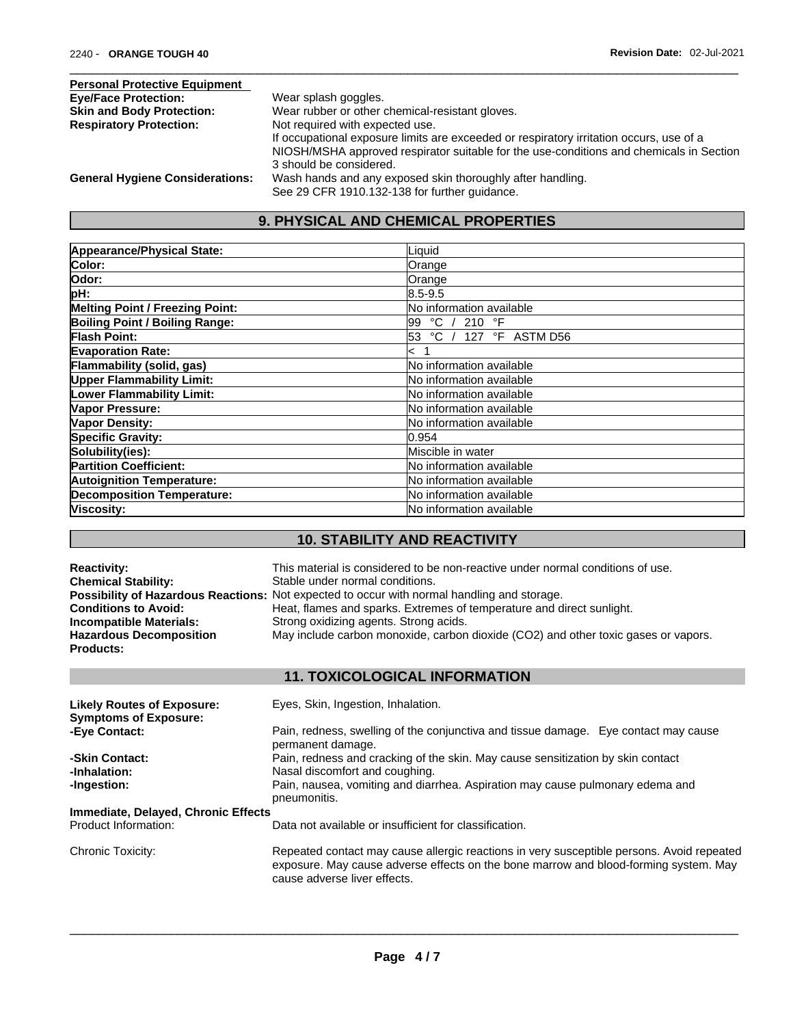| <b>Personal Protective Equipment</b>   |                                                                                         |
|----------------------------------------|-----------------------------------------------------------------------------------------|
| <b>Eye/Face Protection:</b>            | Wear splash goggles.                                                                    |
| <b>Skin and Body Protection:</b>       | Wear rubber or other chemical-resistant gloves.                                         |
| <b>Respiratory Protection:</b>         | Not required with expected use.                                                         |
|                                        | If occupational exposure limits are exceeded or respiratory irritation occurs, use of a |
|                                        | NIOSH/MSHA approved respirator suitable for the use-conditions and chemicals in Section |
|                                        | 3 should be considered.                                                                 |
| <b>General Hygiene Considerations:</b> | Wash hands and any exposed skin thoroughly after handling.                              |
|                                        | See 29 CFR 1910.132-138 for further guidance.                                           |

# **9. PHYSICAL AND CHEMICAL PROPERTIES**

| Appearance/Physical State:            | Liquid                          |
|---------------------------------------|---------------------------------|
| Color:                                | Orange                          |
| Odor:                                 | Orange                          |
| pH:                                   | 18.5-9.5                        |
| Melting Point / Freezing Point:       | No information available        |
| <b>Boiling Point / Boiling Range:</b> | 99 °C / 210 °F                  |
| <b>Flash Point:</b>                   | °C / 127 °F ASTM D56<br>53      |
| <b>Evaporation Rate:</b>              | $\leq$                          |
| Flammability (solid, gas)             | No information available        |
| <b>Upper Flammability Limit:</b>      | lNo information available       |
| <b>Lower Flammability Limit:</b>      | <b>No information available</b> |
| Vapor Pressure:                       | <b>No information available</b> |
| <b>Vapor Density:</b>                 | <b>No information available</b> |
| <b>Specific Gravity:</b>              | l0.954                          |
| Solubility(ies):                      | lMiscible in water              |
| <b>Partition Coefficient:</b>         | lNo information available       |
| <b>Autoignition Temperature:</b>      | <b>No information available</b> |
| Decomposition Temperature:            | lNo information available       |
| Viscosity:                            | lNo information available       |

# **10. STABILITY AND REACTIVITY**

| <b>Reactivity:</b><br><b>Chemical Stability:</b><br><b>Conditions to Avoid:</b><br><b>Incompatible Materials:</b><br><b>Hazardous Decomposition</b><br><b>Products:</b> | This material is considered to be non-reactive under normal conditions of use.<br>Stable under normal conditions.<br>Possibility of Hazardous Reactions: Not expected to occur with normal handling and storage.<br>Heat, flames and sparks. Extremes of temperature and direct sunlight.<br>Strong oxidizing agents. Strong acids.<br>May include carbon monoxide, carbon dioxide (CO2) and other toxic gases or vapors. |
|-------------------------------------------------------------------------------------------------------------------------------------------------------------------------|---------------------------------------------------------------------------------------------------------------------------------------------------------------------------------------------------------------------------------------------------------------------------------------------------------------------------------------------------------------------------------------------------------------------------|
|                                                                                                                                                                         | <b>11. TOXICOLOGICAL INFORMATION</b>                                                                                                                                                                                                                                                                                                                                                                                      |
| <b>Likely Routes of Exposure:</b><br><b>Symptoms of Exposure:</b>                                                                                                       | Eyes, Skin, Ingestion, Inhalation.                                                                                                                                                                                                                                                                                                                                                                                        |
| -Eye Contact:                                                                                                                                                           | Pain, redness, swelling of the conjunctiva and tissue damage. Eye contact may cause<br>permanent damage.                                                                                                                                                                                                                                                                                                                  |
| -Skin Contact:<br>-Inhalation:                                                                                                                                          | Pain, redness and cracking of the skin. May cause sensitization by skin contact<br>Nasal discomfort and coughing.                                                                                                                                                                                                                                                                                                         |
| -Ingestion:                                                                                                                                                             | Pain, nausea, vomiting and diarrhea. Aspiration may cause pulmonary edema and<br>pneumonitis.                                                                                                                                                                                                                                                                                                                             |
| Immediate, Delayed, Chronic Effects                                                                                                                                     |                                                                                                                                                                                                                                                                                                                                                                                                                           |
| Product Information:                                                                                                                                                    | Data not available or insufficient for classification.                                                                                                                                                                                                                                                                                                                                                                    |
| Chronic Toxicity:                                                                                                                                                       | Repeated contact may cause allergic reactions in very susceptible persons. Avoid repeated<br>exposure. May cause adverse effects on the bone marrow and blood-forming system. May<br>cause adverse liver effects.                                                                                                                                                                                                         |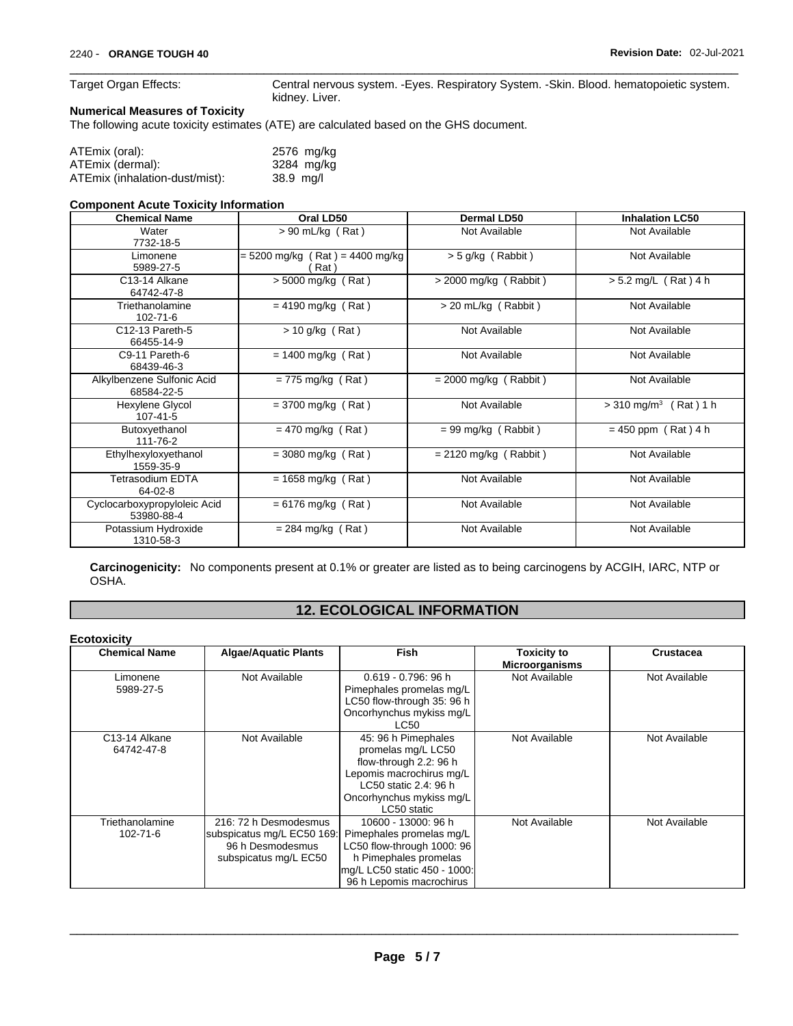Target Organ Effects: Central nervous system. -Eyes. Respiratory System. -Skin. Blood. hematopoietic system. kidney. Liver.

#### **Numerical Measures of Toxicity**

The following acute toxicity estimates (ATE) are calculated based on the GHS document.

| ATEmix (oral):                 | 2576 mg/kg  |  |
|--------------------------------|-------------|--|
| ATEmix (dermal):               | 3284 mg/kg  |  |
| ATEmix (inhalation-dust/mist): | $38.9$ mg/l |  |

#### **Component Acute Toxicity Information**

| <b>Chemical Name</b>                       | Oral LD50                                 | <b>Dermal LD50</b>                   | <b>Inhalation LC50</b>              |  |
|--------------------------------------------|-------------------------------------------|--------------------------------------|-------------------------------------|--|
| Water<br>7732-18-5                         | $> 90$ mL/kg (Rat)                        | Not Available                        | Not Available                       |  |
| Limonene<br>5989-27-5                      | $= 5200$ mg/kg (Rat) = 4400 mg/kg<br>Rat) | $> 5$ g/kg (Rabbit)                  | Not Available                       |  |
| C13-14 Alkane<br>64742-47-8                | $> 5000$ mg/kg (Rat)                      | $>$ 2000 mg/kg (Rabbit)              | $> 5.2$ mg/L (Rat) 4 h              |  |
| Triethanolamine<br>$102 - 71 - 6$          | $= 4190$ mg/kg (Rat)                      | Not Available<br>> 20 mL/kg (Rabbit) |                                     |  |
| C12-13 Pareth-5<br>66455-14-9              | $> 10$ g/kg (Rat)<br>Not Available        |                                      | Not Available                       |  |
| C9-11 Pareth-6<br>68439-46-3               | $= 1400$ mg/kg (Rat)                      | Not Available                        | Not Available                       |  |
| Alkylbenzene Sulfonic Acid<br>68584-22-5   | $= 775$ mg/kg (Rat)                       | $= 2000$ mg/kg (Rabbit)              | Not Available                       |  |
| Hexylene Glycol<br>107-41-5                | $=$ 3700 mg/kg (Rat)                      | Not Available                        | $>$ 310 mg/m <sup>3</sup> (Rat) 1 h |  |
| Butoxyethanol<br>111-76-2                  | $= 470$ mg/kg (Rat)                       | $= 99$ mg/kg (Rabbit)                | $= 450$ ppm (Rat) 4 h               |  |
| Ethylhexyloxyethanol<br>1559-35-9          | $=$ 3080 mg/kg (Rat)                      | $= 2120$ mg/kg (Rabbit)              | Not Available                       |  |
| Tetrasodium EDTA<br>64-02-8                | $= 1658$ mg/kg (Rat)                      | Not Available                        | Not Available                       |  |
| Cyclocarboxypropyloleic Acid<br>53980-88-4 | $= 6176$ mg/kg (Rat)                      | Not Available                        | Not Available                       |  |
| Potassium Hydroxide<br>1310-58-3           | $= 284$ mg/kg (Rat)                       | Not Available                        | Not Available                       |  |

**Carcinogenicity:** No components present at 0.1% or greater arelisted as to being carcinogens by ACGIH, IARC, NTP or OSHA.

#### **12. ECOLOGICAL INFORMATION**

#### **Ecotoxicity**

| <b>Chemical Name</b>        | <b>Algae/Aquatic Plants</b>                                                                      | Fish                                                                                                                                                                | <b>Toxicity to</b><br><b>Microorganisms</b> | <b>Crustacea</b><br>Not Available |  |
|-----------------------------|--------------------------------------------------------------------------------------------------|---------------------------------------------------------------------------------------------------------------------------------------------------------------------|---------------------------------------------|-----------------------------------|--|
| Limonene<br>5989-27-5       | Not Available                                                                                    | $0.619 - 0.796$ : 96 h<br>Pimephales promelas mg/L<br>LC50 flow-through 35: 96 h<br>Oncorhynchus mykiss mg/L<br>LC50                                                | Not Available                               |                                   |  |
| C13-14 Alkane<br>64742-47-8 | Not Available                                                                                    | 45: 96 h Pimephales<br>promelas mg/L LC50<br>flow-through 2.2: 96 h<br>Lepomis macrochirus mg/L<br>LC50 static 2.4: 96 h<br>Oncorhynchus mykiss mg/L<br>LC50 static | Not Available                               | Not Available                     |  |
| Triethanolamine<br>102-71-6 | 216: 72 h Desmodesmus<br>subspicatus mg/L EC50 169:<br>96 h Desmodesmus<br>subspicatus mg/L EC50 | 10600 - 13000: 96 h<br>Pimephales promelas mg/L<br>LC50 flow-through 1000: 96<br>h Pimephales promelas<br>mg/L LC50 static 450 - 1000:<br>96 h Lepomis macrochirus  | Not Available                               | Not Available                     |  |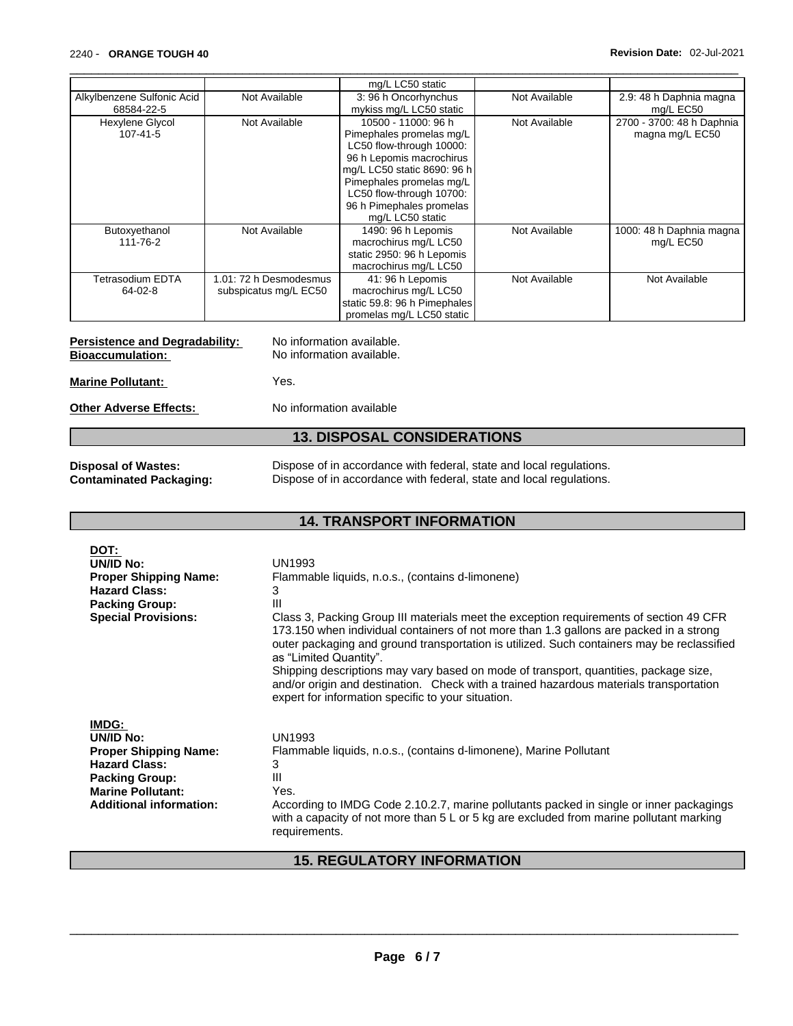|                            |                        | mg/L LC50 static             |               |                           |
|----------------------------|------------------------|------------------------------|---------------|---------------------------|
| Alkylbenzene Sulfonic Acid | Not Available          | 3:96 h Oncorhynchus          | Not Available | 2.9: 48 h Daphnia magna   |
| 68584-22-5                 |                        | mykiss mg/L LC50 static      |               | mg/L EC50                 |
| Hexylene Glycol            | Not Available          | 10500 - 11000: 96 h          | Not Available | 2700 - 3700: 48 h Daphnia |
| 107-41-5                   |                        | Pimephales promelas mg/L     |               | magna mg/L EC50           |
|                            |                        | LC50 flow-through 10000:     |               |                           |
|                            |                        | 96 h Lepomis macrochirus     |               |                           |
|                            |                        | mg/L LC50 static 8690: 96 h  |               |                           |
|                            |                        | Pimephales promelas mg/L     |               |                           |
|                            |                        | LC50 flow-through 10700:     |               |                           |
|                            |                        | 96 h Pimephales promelas     |               |                           |
|                            |                        | mg/L LC50 static             |               |                           |
| Butoxyethanol              | Not Available          | 1490: 96 h Lepomis           | Not Available | 1000: 48 h Daphnia magna  |
| 111-76-2                   |                        | macrochirus mg/L LC50        |               | mg/L EC50                 |
|                            |                        | static 2950: 96 h Lepomis    |               |                           |
|                            |                        | macrochirus mg/L LC50        |               |                           |
| Tetrasodium EDTA           | 1.01: 72 h Desmodesmus | 41: 96 h Lepomis             | Not Available | Not Available             |
| 64-02-8                    | subspicatus mg/L EC50  | macrochirus mg/L LC50        |               |                           |
|                            |                        | static 59.8: 96 h Pimephales |               |                           |
|                            |                        | promelas mg/L LC50 static    |               |                           |

# **Persistence and Degradability:** No information available.<br> **Bioaccumulation:** No information available.

No information available.

**Marine Pollutant:** Yes.

### **Other Adverse Effects:** No information available

# **13. DISPOSAL CONSIDERATIONS**

**Disposal of Wastes:** Dispose of in accordance with federal, state and local regulations.<br> **Contaminated Packaging:** Dispose of in accordance with federal, state and local regulations. Dispose of in accordance with federal, state and local regulations.

### **14. TRANSPORT INFORMATION**

| DOT:<br>UN/ID No:<br><b>Proper Shipping Name:</b><br><b>Hazard Class:</b><br><b>Packing Group:</b><br><b>Special Provisions:</b>                                  | UN1993<br>Flammable liquids, n.o.s., (contains d-limonene)<br>3<br>Ш<br>Class 3, Packing Group III materials meet the exception requirements of section 49 CFR<br>173.150 when individual containers of not more than 1.3 gallons are packed in a strong<br>outer packaging and ground transportation is utilized. Such containers may be reclassified<br>as "Limited Quantity".<br>Shipping descriptions may vary based on mode of transport, quantities, package size,<br>and/or origin and destination. Check with a trained hazardous materials transportation<br>expert for information specific to your situation. |
|-------------------------------------------------------------------------------------------------------------------------------------------------------------------|--------------------------------------------------------------------------------------------------------------------------------------------------------------------------------------------------------------------------------------------------------------------------------------------------------------------------------------------------------------------------------------------------------------------------------------------------------------------------------------------------------------------------------------------------------------------------------------------------------------------------|
| IMDG:<br>UN/ID No:<br><b>Proper Shipping Name:</b><br><b>Hazard Class:</b><br><b>Packing Group:</b><br><b>Marine Pollutant:</b><br><b>Additional information:</b> | <b>UN1993</b><br>Flammable liquids, n.o.s., (contains d-limonene), Marine Pollutant<br>3<br>Ш<br>Yes.<br>According to IMDG Code 2.10.2.7, marine pollutants packed in single or inner packagings<br>with a capacity of not more than $5 \text{ L}$ or $5 \text{ kg}$ are excluded from marine pollutant marking<br>requirements.                                                                                                                                                                                                                                                                                         |

### **15. REGULATORY INFORMATION**